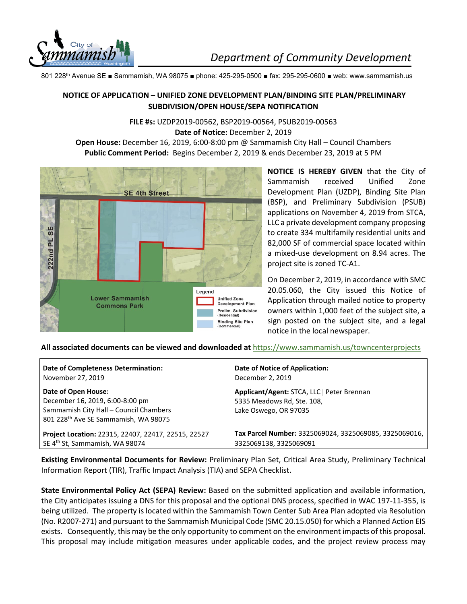

801 228th Avenue SE ■ Sammamish, WA 98075 ■ phone: 425-295-0500 ■ fax: 295-295-0600 ■ web: www.sammamish.us

## **NOTICE OF APPLICATION – UNIFIED ZONE DEVELOPMENT PLAN/BINDING SITE PLAN/PRELIMINARY SUBDIVISION/OPEN HOUSE/SEPA NOTIFICATION**

**FILE #s:** UZDP2019-00562, BSP2019-00564, PSUB2019-00563 **Date of Notice:** December 2, 2019 **Open House:** December 16, 2019, 6:00-8:00 pm @ Sammamish City Hall – Council Chambers **Public Comment Period:** Begins December 2, 2019 & ends December 23, 2019 at 5 PM



**NOTICE IS HEREBY GIVEN** that the City of Sammamish received Unified Zone Development Plan (UZDP), Binding Site Plan (BSP), and Preliminary Subdivision (PSUB) applications on November 4, 2019 from STCA, LLC a private development company proposing to create 334 multifamily residential units and 82,000 SF of commercial space located within a mixed-use development on 8.94 acres. The project site is zoned TC-A1.

On December 2, 2019, in accordance with SMC 20.05.060, the City issued this Notice of Application through mailed notice to property owners within 1,000 feet of the subject site, a sign posted on the subject site, and a legal notice in the local newspaper.

**All associated documents can be viewed and downloaded at** <https://www.sammamish.us/towncenterprojects>

| <b>Date of Completeness Determination:</b>                                                                                                           | Date of Notice of Application:                                                                    |
|------------------------------------------------------------------------------------------------------------------------------------------------------|---------------------------------------------------------------------------------------------------|
| November 27, 2019                                                                                                                                    | December 2, 2019                                                                                  |
| Date of Open House:<br>December 16, 2019, 6:00-8:00 pm<br>Sammamish City Hall - Council Chambers<br>801 228 <sup>th</sup> Ave SE Sammamish, WA 98075 | Applicant/Agent: STCA, LLC   Peter Brennan<br>5335 Meadows Rd, Ste. 108,<br>Lake Oswego, OR 97035 |
| Project Location: 22315, 22407, 22417, 22515, 22527                                                                                                  | Tax Parcel Number: 3325069024, 3325069085, 3325069016,                                            |
| SE 4 <sup>th</sup> St, Sammamish, WA 98074                                                                                                           | 3325069138, 3325069091                                                                            |

**Existing Environmental Documents for Review:** Preliminary Plan Set, Critical Area Study, Preliminary Technical Information Report (TIR), Traffic Impact Analysis (TIA) and SEPA Checklist.

**State Environmental Policy Act (SEPA) Review:** Based on the submitted application and available information, the City anticipates issuing a DNS for this proposal and the optional DNS process, specified in WAC 197-11-355, is being utilized. The property is located within the Sammamish Town Center Sub Area Plan adopted via Resolution (No. R2007-271) and pursuant to the Sammamish Municipal Code (SMC 20.15.050) for which a Planned Action EIS exists. Consequently, this may be the only opportunity to comment on the environment impacts of this proposal. This proposal may include mitigation measures under applicable codes, and the project review process may